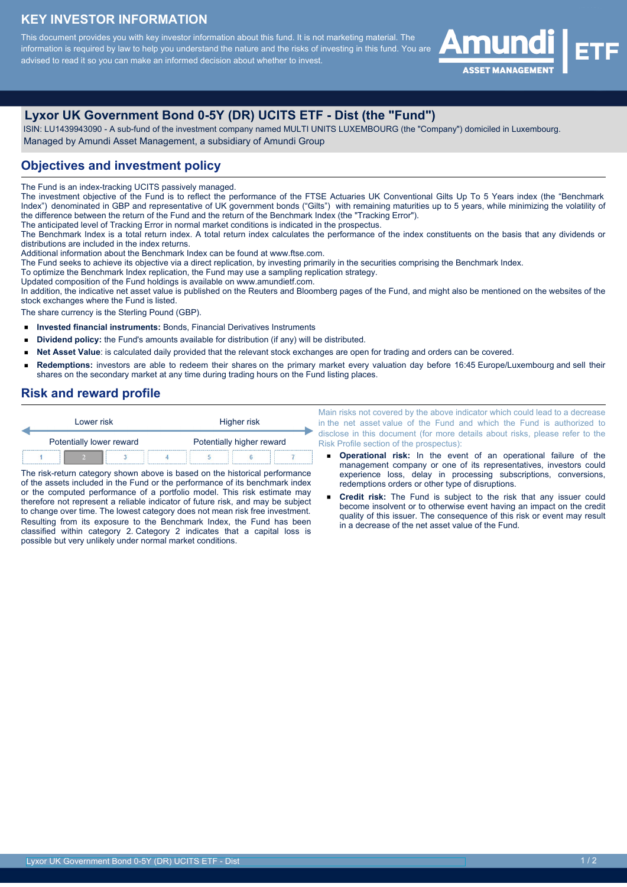## **KEY INVESTOR INFORMATION**

This document provides you with key investor information about this fund. It is not marketing material. The information is required by law to help you understand the nature and the risks of investing in this fund. You are advised to read it so you can make an informed decision about whether to invest.



# **Lyxor UK Government Bond 0-5Y (DR) UCITS ETF - Dist (the "Fund")**

 ISIN: LU1439943090 - A sub-fund of the investment company named MULTI UNITS LUXEMBOURG (the "Company") domiciled in Luxembourg. Managed by Amundi Asset Management, a subsidiary of Amundi Group

#### **Objectives and investment policy**

The Fund is an index-tracking UCITS passively managed.

The investment objective of the Fund is to reflect the performance of the FTSE Actuaries UK Conventional Gilts Up To 5 Years index (the "Benchmark Index") denominated in GBP and representative of UK government bonds ("Gilts") with remaining maturities up to 5 years, while minimizing the volatility of the difference between the return of the Fund and the return of the Benchmark Index (the "Tracking Error").

The anticipated level of Tracking Error in normal market conditions is indicated in the prospectus.

The Benchmark Index is a total return index. A total return index calculates the performance of the index constituents on the basis that any dividends or distributions are included in the index returns.

Additional information about the Benchmark Index can be found at www.ftse.com.

The Fund seeks to achieve its objective via a direct replication, by investing primarily in the securities comprising the Benchmark Index.

To optimize the Benchmark Index replication, the Fund may use a sampling replication strategy.

Updated composition of the Fund holdings is available on www.amundietf.com.

In addition, the indicative net asset value is published on the Reuters and Bloomberg pages of the Fund, and might also be mentioned on the websites of the stock exchanges where the Fund is listed.

The share currency is the Sterling Pound (GBP).

- $\blacksquare$ **Invested financial instruments:** Bonds, Financial Derivatives Instruments
- $\blacksquare$ **Dividend policy:** the Fund's amounts available for distribution (if any) will be distributed.
- **Net Asset Value**: is calculated daily provided that the relevant stock exchanges are open for trading and orders can be covered.  $\blacksquare$
- **Redemptions:** investors are able to redeem their shares on the primary market every valuation day before 16:45 Europe/Luxembourg and sell their shares on the secondary market at any time during trading hours on the Fund listing places.

#### **Risk and reward profile**

| Lower risk               | Higher risk<br>Potentially higher reward |  |  |  |  |
|--------------------------|------------------------------------------|--|--|--|--|
| Potentially lower reward |                                          |  |  |  |  |
|                          |                                          |  |  |  |  |

The risk-return category shown above is based on the historical performance of the assets included in the Fund or the performance of its benchmark index or the computed performance of a portfolio model. This risk estimate may therefore not represent a reliable indicator of future risk, and may be subject to change over time. The lowest category does not mean risk free investment. Resulting from its exposure to the Benchmark Index, the Fund has been classified within category 2. Category 2 indicates that a capital loss is possible but very unlikely under normal market conditions.

Main risks not covered by the above indicator which could lead to a decrease in the net asset value of the Fund and which the Fund is authorized to disclose in this document (for more details about risks, please refer to the Risk Profile section of the prospectus):

- **Operational risk:** In the event of an operational failure of the management company or one of its representatives, investors could experience loss, delay in processing subscriptions, conversions, redemptions orders or other type of disruptions.
- **Credit risk:** The Fund is subject to the risk that any issuer could become insolvent or to otherwise event having an impact on the credit quality of this issuer. The consequence of this risk or event may result in a decrease of the net asset value of the Fund.